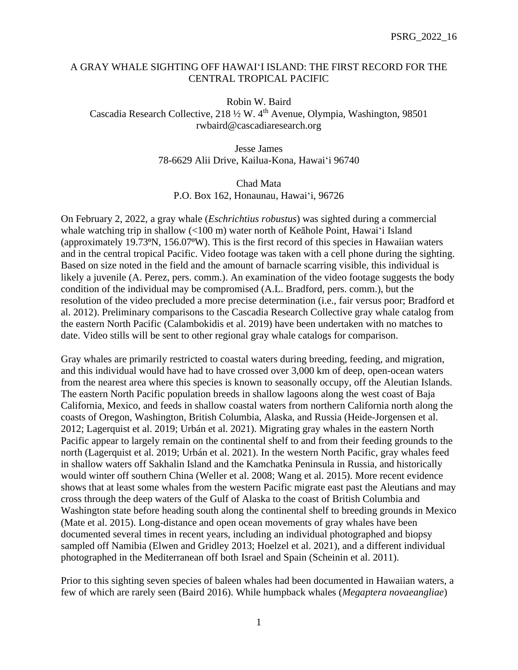## A GRAY WHALE SIGHTING OFF HAWAIʻI ISLAND: THE FIRST RECORD FOR THE CENTRAL TROPICAL PACIFIC

Robin W. Baird Cascadia Research Collective, 218 ½ W. 4th Avenue, Olympia, Washington, 98501 rwbaird@cascadiaresearch.org

> Jesse James 78-6629 Alii Drive, Kailua-Kona, Hawaiʻi 96740

Chad Mata P.O. Box 162, Honaunau, Hawaiʻi, 96726

On February 2, 2022, a gray whale (*Eschrichtius robustus*) was sighted during a commercial whale watching trip in shallow (<100 m) water north of Keahole Point, Hawai'i Island (approximately 19.73⁰N, 156.07⁰W). This is the first record of this species in Hawaiian waters and in the central tropical Pacific. Video footage was taken with a cell phone during the sighting. Based on size noted in the field and the amount of barnacle scarring visible, this individual is likely a juvenile (A. Perez, pers. comm.). An examination of the video footage suggests the body condition of the individual may be compromised (A.L. Bradford, pers. comm.), but the resolution of the video precluded a more precise determination (i.e., fair versus poor; Bradford et al. 2012). Preliminary comparisons to the Cascadia Research Collective gray whale catalog from the eastern North Pacific (Calambokidis et al. 2019) have been undertaken with no matches to date. Video stills will be sent to other regional gray whale catalogs for comparison.

Gray whales are primarily restricted to coastal waters during breeding, feeding, and migration, and this individual would have had to have crossed over 3,000 km of deep, open-ocean waters from the nearest area where this species is known to seasonally occupy, off the Aleutian Islands. The eastern North Pacific population breeds in shallow lagoons along the west coast of Baja California, Mexico, and feeds in shallow coastal waters from northern California north along the coasts of Oregon, Washington, British Columbia, Alaska, and Russia (Heide-Jorgensen et al. 2012; Lagerquist et al. 2019; Urbán et al. 2021). Migrating gray whales in the eastern North Pacific appear to largely remain on the continental shelf to and from their feeding grounds to the north (Lagerquist et al. 2019; Urbán et al. 2021). In the western North Pacific, gray whales feed in shallow waters off Sakhalin Island and the Kamchatka Peninsula in Russia, and historically would winter off southern China (Weller et al. 2008; Wang et al. 2015). More recent evidence shows that at least some whales from the western Pacific migrate east past the Aleutians and may cross through the deep waters of the Gulf of Alaska to the coast of British Columbia and Washington state before heading south along the continental shelf to breeding grounds in Mexico (Mate et al. 2015). Long-distance and open ocean movements of gray whales have been documented several times in recent years, including an individual photographed and biopsy sampled off Namibia (Elwen and Gridley 2013; Hoelzel et al. 2021), and a different individual photographed in the Mediterranean off both Israel and Spain (Scheinin et al. 2011).

Prior to this sighting seven species of baleen whales had been documented in Hawaiian waters, a few of which are rarely seen (Baird 2016). While humpback whales (*Megaptera novaeangliae*)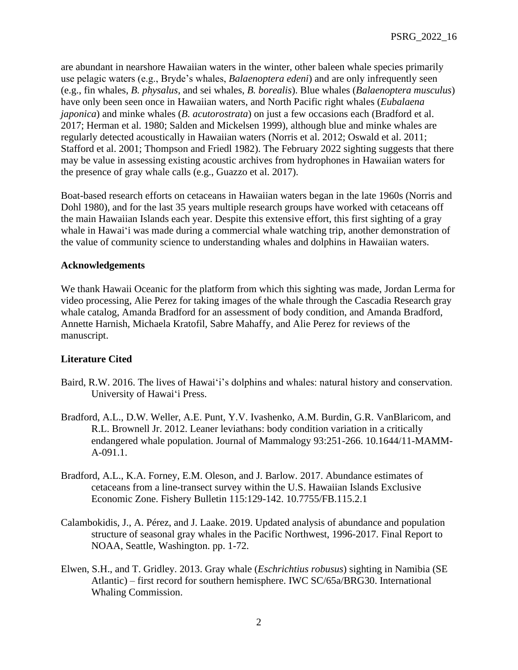are abundant in nearshore Hawaiian waters in the winter, other baleen whale species primarily use pelagic waters (e.g., Bryde's whales, *Balaenoptera edeni*) and are only infrequently seen (e.g., fin whales, *B. physalus*, and sei whales, *B. borealis*). Blue whales (*Balaenoptera musculus*) have only been seen once in Hawaiian waters, and North Pacific right whales (*Eubalaena japonica*) and minke whales (*B. acutorostrata*) on just a few occasions each (Bradford et al. 2017; Herman et al. 1980; Salden and Mickelsen 1999), although blue and minke whales are regularly detected acoustically in Hawaiian waters (Norris et al. 2012; Oswald et al. 2011; Stafford et al. 2001; Thompson and Friedl 1982). The February 2022 sighting suggests that there may be value in assessing existing acoustic archives from hydrophones in Hawaiian waters for the presence of gray whale calls (e.g., Guazzo et al. 2017).

Boat-based research efforts on cetaceans in Hawaiian waters began in the late 1960s (Norris and Dohl 1980), and for the last 35 years multiple research groups have worked with cetaceans off the main Hawaiian Islands each year. Despite this extensive effort, this first sighting of a gray whale in Hawaiʻi was made during a commercial whale watching trip, another demonstration of the value of community science to understanding whales and dolphins in Hawaiian waters.

## **Acknowledgements**

We thank Hawaii Oceanic for the platform from which this sighting was made, Jordan Lerma for video processing, Alie Perez for taking images of the whale through the Cascadia Research gray whale catalog, Amanda Bradford for an assessment of body condition, and Amanda Bradford, Annette Harnish, Michaela Kratofil, Sabre Mahaffy, and Alie Perez for reviews of the manuscript.

## **Literature Cited**

- Baird, R.W. 2016. The lives of Hawaiʻi's dolphins and whales: natural history and conservation. University of Hawaiʻi Press.
- Bradford, A.L., D.W. Weller, A.E. Punt, Y.V. Ivashenko, A.M. Burdin, G.R. VanBlaricom, and R.L. Brownell Jr. 2012. Leaner leviathans: body condition variation in a critically endangered whale population. Journal of Mammalogy 93:251-266. 10.1644/11-MAMM-A-091.1.
- Bradford, A.L., K.A. Forney, E.M. Oleson, and J. Barlow. 2017. Abundance estimates of cetaceans from a line-transect survey within the U.S. Hawaiian Islands Exclusive Economic Zone. Fishery Bulletin 115:129-142. 10.7755/FB.115.2.1
- Calambokidis, J., A. Pérez, and J. Laake. 2019. Updated analysis of abundance and population structure of seasonal gray whales in the Pacific Northwest, 1996-2017. Final Report to NOAA, Seattle, Washington. pp. 1-72.
- Elwen, S.H., and T. Gridley. 2013. Gray whale (*Eschrichtius robusus*) sighting in Namibia (SE Atlantic) – first record for southern hemisphere. IWC SC/65a/BRG30. International Whaling Commission.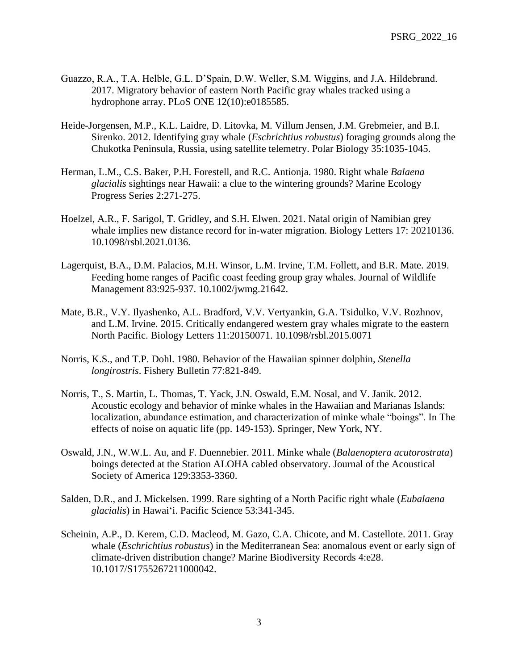- Guazzo, R.A., T.A. Helble, G.L. D'Spain, D.W. Weller, S.M. Wiggins, and J.A. Hildebrand. 2017. Migratory behavior of eastern North Pacific gray whales tracked using a hydrophone array. PLoS ONE 12(10):e0185585.
- Heide-Jorgensen, M.P., K.L. Laidre, D. Litovka, M. Villum Jensen, J.M. Grebmeier, and B.I. Sirenko. 2012. Identifying gray whale (*Eschrichtius robustus*) foraging grounds along the Chukotka Peninsula, Russia, using satellite telemetry. Polar Biology 35:1035-1045.
- Herman, L.M., C.S. Baker, P.H. Forestell, and R.C. Antionja. 1980. Right whale *Balaena glacialis* sightings near Hawaii: a clue to the wintering grounds? Marine Ecology Progress Series 2:271-275.
- Hoelzel, A.R., F. Sarigol, T. Gridley, and S.H. Elwen. 2021. Natal origin of Namibian grey whale implies new distance record for in-water migration. Biology Letters 17: 20210136. 10.1098/rsbl.2021.0136.
- Lagerquist, B.A., D.M. Palacios, M.H. Winsor, L.M. Irvine, T.M. Follett, and B.R. Mate. 2019. Feeding home ranges of Pacific coast feeding group gray whales. Journal of Wildlife Management 83:925-937. 10.1002/jwmg.21642.
- Mate, B.R., V.Y. Ilyashenko, A.L. Bradford, V.V. Vertyankin, G.A. Tsidulko, V.V. Rozhnov, and L.M. Irvine. 2015. Critically endangered western gray whales migrate to the eastern North Pacific. Biology Letters 11:20150071. 10.1098/rsbl.2015.0071
- Norris, K.S., and T.P. Dohl. 1980. Behavior of the Hawaiian spinner dolphin, *Stenella longirostris*. Fishery Bulletin 77:821-849.
- Norris, T., S. Martin, L. Thomas, T. Yack, J.N. Oswald, E.M. Nosal, and V. Janik. 2012. Acoustic ecology and behavior of minke whales in the Hawaiian and Marianas Islands: localization, abundance estimation, and characterization of minke whale "boings". In The effects of noise on aquatic life (pp. 149-153). Springer, New York, NY.
- Oswald, J.N., W.W.L. Au, and F. Duennebier. 2011. Minke whale (*Balaenoptera acutorostrata*) boings detected at the Station ALOHA cabled observatory. Journal of the Acoustical Society of America 129:3353-3360.
- Salden, D.R., and J. Mickelsen. 1999. Rare sighting of a North Pacific right whale (*Eubalaena glacialis*) in Hawaiʻi. Pacific Science 53:341-345.
- Scheinin, A.P., D. Kerem, C.D. Macleod, M. Gazo, C.A. Chicote, and M. Castellote. 2011. Gray whale (*Eschrichtius robustus*) in the Mediterranean Sea: anomalous event or early sign of climate-driven distribution change? Marine Biodiversity Records 4:e28. 10.1017/S1755267211000042.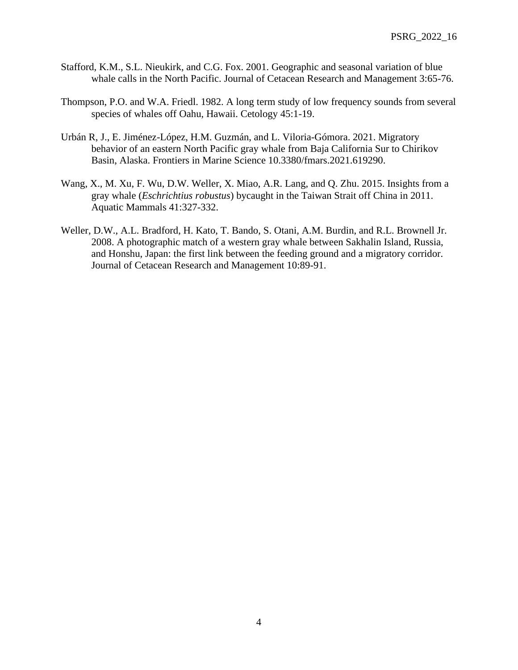- Stafford, K.M., S.L. Nieukirk, and C.G. Fox. 2001. Geographic and seasonal variation of blue whale calls in the North Pacific. Journal of Cetacean Research and Management 3:65-76.
- Thompson, P.O. and W.A. Friedl. 1982. A long term study of low frequency sounds from several species of whales off Oahu, Hawaii. Cetology 45:1-19.
- Urbán R, J., E. Jiménez-López, H.M. Guzmán, and L. Viloria-Gómora. 2021. Migratory behavior of an eastern North Pacific gray whale from Baja California Sur to Chirikov Basin, Alaska. Frontiers in Marine Science 10.3380/fmars.2021.619290.
- Wang, X., M. Xu, F. Wu, D.W. Weller, X. Miao, A.R. Lang, and Q. Zhu. 2015. Insights from a gray whale (*Eschrichtius robustus*) bycaught in the Taiwan Strait off China in 2011. Aquatic Mammals 41:327-332.
- Weller, D.W., A.L. Bradford, H. Kato, T. Bando, S. Otani, A.M. Burdin, and R.L. Brownell Jr. 2008. A photographic match of a western gray whale between Sakhalin Island, Russia, and Honshu, Japan: the first link between the feeding ground and a migratory corridor. Journal of Cetacean Research and Management 10:89-91.